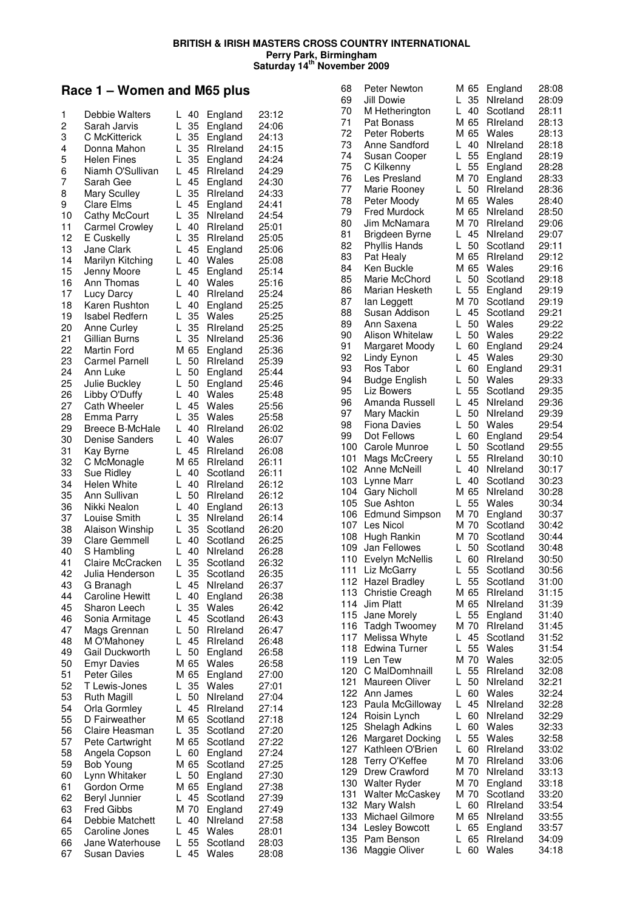### **Race 1 – Women and M65 plus**

|    | Debbie Walters         |          |       |          |       |
|----|------------------------|----------|-------|----------|-------|
| 1  |                        | L<br>40  |       | England  | 23:12 |
| 2  | Sarah Jarvis           | L<br>35  |       | England  | 24:06 |
| 3  | C McKitterick          | 35<br>L  |       | England  | 24:13 |
| 4  | Donna Mahon            | L<br>35  |       | Rireland | 24:15 |
| 5  | <b>Helen Fines</b>     | L<br>35  |       | England  | 24:24 |
|    |                        |          |       |          |       |
| 6  | Niamh O'Sullivan       | 45<br>L  |       | Rireland | 24:29 |
| 7  | Sarah Gee              | L<br>45  |       | England  | 24:30 |
| 8  | <b>Mary Sculley</b>    | L<br>35  |       | Rireland | 24:33 |
| 9  | <b>Clare Elms</b>      | L<br>45  |       | England  | 24:41 |
|    |                        |          |       |          |       |
| 10 | Cathy McCourt          | Г<br>35  |       | Nireland | 24:54 |
| 11 | <b>Carmel Crowley</b>  | L<br>40  |       | Rireland | 25:01 |
| 12 | E Cuskelly             | Г<br>35  |       | Rireland | 25:05 |
| 13 | Jane Clark             | L<br>45  |       | England  | 25:06 |
|    | Marilyn Kitching       | L        |       |          | 25:08 |
| 14 |                        | 40       | Wales |          |       |
| 15 | Jenny Moore            | L<br>45  |       | England  | 25:14 |
| 16 | Ann Thomas             | L<br>40  | Wales |          | 25:16 |
| 17 | Lucy Darcy             | L<br>40  |       | Rireland | 25:24 |
| 18 | Karen Rushton          | L<br>40  |       | England  | 25:25 |
|    |                        |          |       |          |       |
| 19 | <b>Isabel Redfern</b>  | L<br>35  | Wales |          | 25:25 |
| 20 | Anne Curley            | 35<br>L  |       | Rireland | 25:25 |
| 21 | Gillian Burns          | L<br>35  |       | Nireland | 25:36 |
| 22 | <b>Martin Ford</b>     | м<br>65  |       | England  | 25:36 |
| 23 | <b>Carmel Parnell</b>  | 50<br>L  |       | Rireland | 25:39 |
|    |                        |          |       |          |       |
| 24 | Ann Luke               | L<br>50  |       | England  | 25:44 |
| 25 | Julie Buckley          | 50<br>L  |       | England  | 25:46 |
| 26 | Libby O'Duffy          | L<br>40  | Wales |          | 25:48 |
| 27 | Cath Wheeler           | L<br>45  | Wales |          | 25:56 |
|    |                        |          |       |          |       |
| 28 | Emma Parry             | L<br>35  | Wales |          | 25:58 |
| 29 | <b>Breece B-McHale</b> | L<br>40  |       | Rireland | 26:02 |
| 30 | <b>Denise Sanders</b>  | Г<br>40  | Wales |          | 26:07 |
| 31 | Kay Byrne              | L<br>45  |       | Rireland | 26:08 |
| 32 | C McMonagle            | M 65     |       | Rireland | 26:11 |
|    |                        |          |       |          |       |
| 33 | Sue Ridley             | L<br>40  |       | Scotland | 26:11 |
| 34 | Helen White            | L<br>40  |       | Rireland | 26:12 |
| 35 | Ann Sullivan           | L<br>50  |       | Rireland | 26:12 |
| 36 | Nikki Nealon           | L<br>40  |       | England  | 26:13 |
|    | Louise Smith           | L        |       | Nireland |       |
| 37 |                        | 35       |       |          | 26:14 |
| 38 | Alaison Winship        | L<br>35  |       | Scotland | 26:20 |
| 39 | Clare Gemmell          | L<br>40  |       | Scotland | 26:25 |
| 40 | S Hambling             | L<br>40  |       | Nireland | 26:28 |
| 41 | Claire McCracken       | Г<br>35  |       | Scotland | 26:32 |
|    |                        |          |       |          |       |
| 42 | Julia Henderson        | 35<br>L  |       | Scotland | 26:35 |
| 43 | G Branagh              | 45<br>L  |       | Nireland | 26:37 |
| 44 | <b>Caroline Hewitt</b> | L<br>40  |       | England  | 26:38 |
| 45 | Sharon Leech           | L<br>35  | Wales |          | 26:42 |
| 46 | Sonia Armitage         | L<br>45  |       | Scotland | 26:43 |
|    |                        |          |       |          |       |
| 47 | Mags Grennan           | L<br>50  |       | Rireland | 26:47 |
| 48 | M O'Mahoney            | 45<br>L  |       | Rireland | 26:48 |
| 49 | Gail Duckworth         | 50<br>L  |       | England  | 26:58 |
| 50 | <b>Emyr Davies</b>     | M 65     | Wales |          | 26:58 |
| 51 | <b>Peter Giles</b>     | M 65     |       |          | 27:00 |
|    |                        |          |       | England  |       |
| 52 | T Lewis-Jones          | 35<br>L  | Wales |          | 27:01 |
| 53 | <b>Ruth Magill</b>     | 50<br>L  |       | Nireland | 27:04 |
| 54 | Orla Gormley           | L<br>45  |       | Rireland | 27:14 |
| 55 | D Fairweather          | M 65     |       | Scotland | 27:18 |
|    |                        |          |       |          |       |
| 56 | Claire Heasman         | 35<br>L  |       | Scotland | 27:20 |
| 57 | Pete Cartwright        | M 65     |       | Scotland | 27:22 |
| 58 | Angela Copson          | 60<br>L. |       | England  | 27:24 |
| 59 | <b>Bob Young</b>       | M 65     |       | Scotland | 27:25 |
| 60 | Lynn Whitaker          | L<br>50  |       | England  | 27:30 |
|    |                        |          |       |          |       |
| 61 | Gordon Orme            | M 65     |       | England  | 27:38 |
| 62 | Beryl Junnier          | 45<br>L. |       | Scotland | 27:39 |
| 63 | <b>Fred Gibbs</b>      | M 70     |       | England  | 27:49 |
| 64 | Debbie Matchett        | 40<br>L  |       | Nireland | 27:58 |
| 65 |                        | 45<br>L  | Wales |          |       |
|    | Caroline Jones         |          |       |          | 28:01 |
| 66 | Jane Waterhouse        | L<br>55  |       | Scotland | 28:03 |
| 67 | <b>Susan Davies</b>    | 45<br>L  | Wales |          | 28:08 |

| 68       | Peter Newton                 | M 65          | England              | 28:08          |
|----------|------------------------------|---------------|----------------------|----------------|
| 69       | Jill Dowie                   | L.<br>35      | Nireland             | 28:09          |
| 70       | M Hetherington               | L<br>40       | Scotland             | 28:11          |
| 71       | Pat Bonass                   | M 65          | Rireland             | 28:13          |
| 72       | Peter Roberts                | M 65          | Wales                | 28:13          |
| 73       | Anne Sandford                | L<br>40       | NIreland             | 28:18          |
| 74       | Susan Cooper                 | L<br>55       | England              | 28:19          |
| 75       | C Kilkenny                   | 55<br>L       | England              | 28:28          |
| 76       | Les Presland                 | M 70          | England              | 28:33          |
| 77       | Marie Rooney                 | L<br>50       | Rireland             | 28:36          |
| 78       | Peter Moody                  | M 65          | Wales                | 28:40          |
| 79       | <b>Fred Murdock</b>          | M 65          | Nireland             | 28:50          |
| 80       | Jim McNamara                 | M 70          | Rireland             | 29:06          |
| 81       | Brigdeen Byrne               | L<br>45       | Nireland             | 29:07          |
| 82       | Phyllis Hands                | L<br>50       | Scotland             | 29:11          |
| 83       | Pat Healy                    | M 65          | Rireland             | 29:12          |
| 84       | Ken Buckle                   | M 65          | Wales                | 29:16          |
| 85       | Marie McChord                | L<br>50       | Scotland             | 29:18          |
| 86       | Marian Hesketh               | 55<br>L.      | England              | 29:19          |
| 87       | lan Leggett                  | M 70          | Scotland             | 29:19          |
| 88       | Susan Addison                | L<br>45<br>L  | Scotland             | 29:21          |
| 89       | Ann Saxena                   | 50<br>L       | Wales                | 29:22          |
| 90       | Alison Whitelaw              | 50            | Wales                | 29:22          |
| 91       | Margaret Moody               | L<br>60<br>L  | England              | 29:24          |
| 92       | Lindy Eynon                  | 45<br>L       | Wales                | 29:30          |
| 93       | Ros Tabor                    | 60<br>L<br>50 | England              | 29:31          |
| 94       | <b>Budge English</b>         | L<br>55       | Wales                | 29:33          |
| 95<br>96 | Liz Bowers<br>Amanda Russell | L<br>45       | Scotland<br>Nireland | 29:35<br>29:36 |
| 97       | Mary Mackin                  | L<br>50       | Nireland             | 29:39          |
| 98       | <b>Fiona Davies</b>          | L<br>50       | Wales                | 29:54          |
| 99       | Dot Fellows                  | L<br>60       | England              | 29:54          |
| 100      | Carole Munroe                | L<br>50       | Scotland             | 29:55          |
| 101      | Mags McCreery                | L<br>55       | Rireland             | 30:10          |
| 102      | Anne McNeill                 | L<br>40       | Nireland             | 30:17          |
| 103      | Lynne Marr                   | L<br>40       | Scotland             | 30:23          |
| 104      | <b>Gary Nicholl</b>          | M 65          | Nireland             | 30:28          |
| 105      | Sue Ashton                   | L<br>55       | Wales                | 30:34          |
| 106      | Edmund Simpson               | M 70          | England              | 30:37          |
| 107      | Les Nicol                    | M 70          | Scotland             | 30:42          |
| 108      | Hugh Rankin                  | M 70          | Scotland             | 30:44          |
| 109      | Jan Fellowes                 | L<br>50       | Scotland             | 30:48          |
| 110      | Evelyn McNellis              | L<br>60       | Rireland             | 30:50          |
| 111      | Liz McGarry                  | L<br>55       | Scotland             | 30:56          |
| 112      | <b>Hazel Bradley</b>         | 55<br>L.      | Scotland             | 31:00          |
| 113      | Christie Creagh              | M 65          | Rireland             | 31:15          |
| 114      | <b>Jim Platt</b>             | M 65          | Nireland             | 31:39          |
| 115      | Jane Morely                  | 55<br>L.      | England              | 31:40          |
| 116      | Tadgh Twoomey                | M 70          | Rireland             | 31:45          |
| 117      | Melissa Whyte                | L<br>45       | Scotland             | 31:52          |
| 118      | Edwina Turner                | 55<br>L       | Wales                | 31:54          |
| 119      | Len Tew                      | M 70          | Wales                | 32:05          |
| 120      | C MalDomhnaill               | 55<br>L       | Rireland             | 32:08          |
| 121      | Maureen Oliver               | L<br>50       | Nireland             | 32:21          |
| 122      | Ann James                    | L<br>60       | Wales                | 32:24          |
| 123      | Paula McGilloway             | L<br>45       | Nireland             | 32:28          |
| 124      | Roisin Lynch                 | L<br>60       | Nireland             | 32:29          |
| 125      | Shelagh Adkins               | L<br>60       | Wales                | 32:33          |
| 126      | Margaret Docking             | L<br>55       | Wales                | 32:58          |
| 127      | Kathleen O'Brien             | L<br>60       | Rireland             | 33:02          |
| 128      | Terry O'Keffee               | M 70          | Rireland             | 33:06          |
| 129      | Drew Crawford                | M 70          | Nireland             | 33:13          |
| 130      | <b>Walter Ryder</b>          | M 70          | England              | 33:18          |
| 131      | <b>Walter McCaskey</b>       | M 70          | Scotland             | 33:20          |
| 132      | Mary Walsh                   | L<br>60       | Rireland             | 33:54          |
| 133      | Michael Gilmore              | M 65          | Nireland             | 33:55          |
| 134      | Lesley Bowcott               | L<br>65       | England              | 33:57          |
| 135      | Pam Benson                   | 65<br>L       | Rireland             | 34:09          |
| 136      | Maggie Oliver                | L<br>60       | Wales                | 34:18          |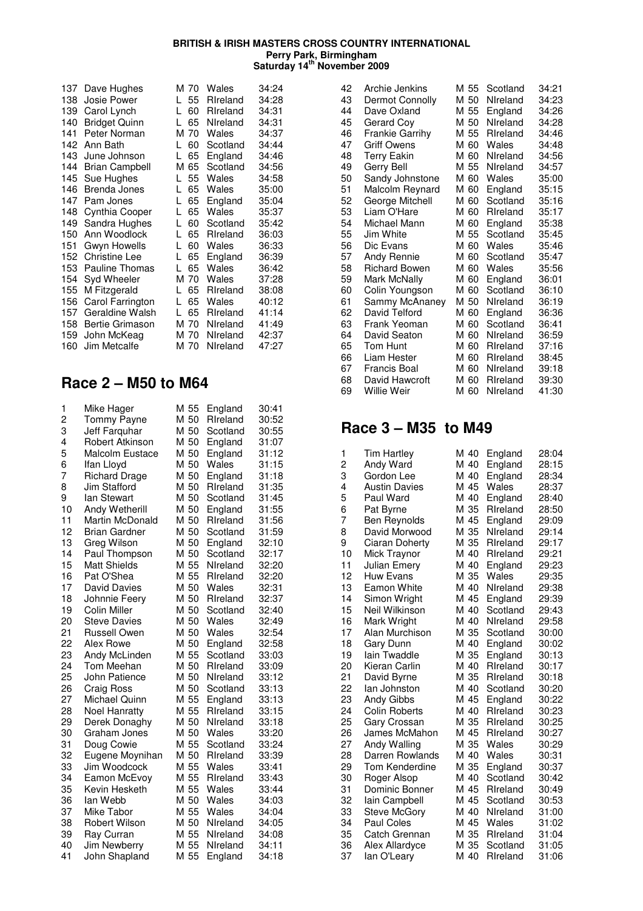| 137 | Dave Hughes           |    | M 70 | Wales    | 34:24 |
|-----|-----------------------|----|------|----------|-------|
| 138 | Josie Power           | L  | 55   | Rireland | 34:28 |
| 139 | Carol Lynch           | L  | 60   | Rireland | 34:31 |
| 140 | <b>Bridget Quinn</b>  | L  | 65   | Nireland | 34:31 |
| 141 | Peter Norman          |    | M 70 | Wales    | 34:37 |
| 142 | Ann Bath              | L  | 60   | Scotland | 34:44 |
| 143 | June Johnson          | L  | 65   | England  | 34:46 |
| 144 | <b>Brian Campbell</b> | м  | 65   | Scotland | 34:56 |
| 145 | Sue Hughes            | L  | 55   | Wales    | 34:58 |
| 146 | Brenda Jones          | L. | 65   | Wales    | 35:00 |
| 147 | Pam Jones             | L. | 65   | England  | 35:04 |
| 148 | Cynthia Cooper        | L. | 65   | Wales    | 35:37 |
| 149 | Sandra Hughes         | U  | 60   | Scotland | 35:42 |
| 150 | Ann Woodlock          | L. | 65   | Rireland | 36:03 |
| 151 | Gwyn Howells          | L  | 60   | Wales    | 36:33 |
| 152 | Christine Lee         | L  | 65   | England  | 36:39 |
| 153 | <b>Pauline Thomas</b> | L  | 65   | Wales    | 36:42 |
| 154 | Syd Wheeler           |    | M 70 | Wales    | 37:28 |
| 155 | M Fitzgerald          | U  | 65   | Rireland | 38:08 |
| 156 | Carol Farrington      | L  | 65   | Wales    | 40:12 |
| 157 | Geraldine Walsh       | L  | 65   | Rireland | 41:14 |
| 158 | Bertie Grimason       |    | M 70 | Nireland | 41:49 |
| 159 | John McKeag           |    | M 70 | Nireland | 42:37 |
| 160 | Jim Metcalfe          |    | M 70 | NIreland | 47:27 |
|     |                       |    |      |          |       |

### **Race 2 – M50 to M64**

| 1                       | Mike Hager             | M 55 | England  | 30:41 |
|-------------------------|------------------------|------|----------|-------|
| $\overline{\mathbf{c}}$ | <b>Tommy Payne</b>     | M 50 | Rireland | 30:52 |
| 3                       | Jeff Farquhar          | M 50 | Scotland | 30:55 |
| 4                       | Robert Atkinson        | M 50 | England  | 31:07 |
| 5                       | <b>Malcolm Eustace</b> | M 50 | England  | 31:12 |
| 6                       | Ifan Lloyd             | M 50 | Wales    | 31:15 |
| 7                       | <b>Richard Drage</b>   | M 50 | England  | 31:18 |
| 8                       | Jim Stafford           | M 50 | Rireland | 31:35 |
| 9                       | lan Stewart            | M 50 | Scotland | 31:45 |
| 10                      | Andy Wetherill         | M 50 | England  | 31:55 |
| 11                      | Martin McDonald        | M 50 | Rireland | 31:56 |
| 12                      | <b>Brian Gardner</b>   | M 50 | Scotland | 31:59 |
| 13                      | Greg Wilson            | M 50 | England  | 32:10 |
| 14                      | Paul Thompson          | M 50 | Scotland | 32:17 |
| 15                      | <b>Matt Shields</b>    | M 55 | Nireland | 32:20 |
| 16                      | Pat O'Shea             | M 55 | Rireland | 32:20 |
| 17                      | David Davies           | M 50 | Wales    | 32:31 |
| 18                      | Johnnie Feery          | M 50 | Rireland | 32:37 |
| 19                      | Colin Miller           | M 50 | Scotland | 32:40 |
| 20                      | <b>Steve Davies</b>    | M 50 | Wales    | 32:49 |
| 21                      | Russell Owen           | M 50 | Wales    | 32:54 |
| 22                      | Alex Rowe              | M 50 | England  | 32:58 |
| 23                      | Andy McLinden          | M 55 | Scotland | 33:03 |
| 24                      | Tom Meehan             | M 50 | Rireland | 33:09 |
| 25                      | John Patience          | M 50 | Nireland | 33:12 |
| 26                      | Craig Ross             | M 50 | Scotland | 33:13 |
| 27                      | Michael Quinn          | M 55 | England  | 33:13 |
| 28                      | <b>Noel Hanratty</b>   | M 55 | Rireland | 33:15 |
| 29                      | Derek Donaghy          | M 50 | NIreland | 33:18 |
| 30                      | Graham Jones           | M 50 | Wales    | 33:20 |
| 31                      | Doug Cowie             | M 55 | Scotland | 33:24 |
| 32                      | Eugene Moynihan        | M 50 | Rireland | 33:39 |
| 33                      | Jim Woodcock           | M 55 | Wales    | 33:41 |
| 34                      | Eamon McEvoy           | M 55 | Rireland | 33:43 |
| 35                      | Kevin Hesketh          | M 55 | Wales    | 33:44 |
| 36                      | lan Webb               | M 50 | Wales    | 34:03 |
| 37                      | Mike Tabor             | M 55 | Wales    | 34:04 |
| 38                      | Robert Wilson          | M 50 | Nireland | 34:05 |
| 39                      | Ray Curran             | M 55 | Nireland | 34:08 |
| 40                      | Jim Newberry           | M 55 | Nireland | 34:11 |
| 41                      | John Shapland          | M 55 | England  | 34:18 |

| 42 | Archie Jenkins         | M 55 | Scotland | 34:21 |
|----|------------------------|------|----------|-------|
| 43 | Dermot Connolly        | M 50 | Nireland | 34:23 |
| 44 | Dave Oxland            | M 55 | England  | 34:26 |
| 45 | Gerard Coy             | M 50 | Nireland | 34:28 |
| 46 | <b>Frankie Garrihy</b> | M 55 | Rireland | 34:46 |
| 47 | Griff Owens            | M 60 | Wales    | 34:48 |
| 48 | <b>Terry Eakin</b>     | M 60 | Nireland | 34:56 |
| 49 | Gerry Bell             | M 55 | Nireland | 34:57 |
| 50 | Sandy Johnstone        | M 60 | Wales    | 35:00 |
| 51 | Malcolm Reynard        | M 60 | England  | 35:15 |
| 52 | George Mitchell        | M 60 | Scotland | 35:16 |
| 53 | Liam O'Hare            | M 60 | Rireland | 35:17 |
| 54 | Michael Mann           | M 60 | England  | 35:38 |
| 55 | Jim White              | M 55 | Scotland | 35:45 |
| 56 | Dic Evans              | M 60 | Wales    | 35:46 |
| 57 | Andy Rennie            | M 60 | Scotland | 35:47 |
| 58 | <b>Richard Bowen</b>   | M 60 | Wales    | 35:56 |
| 59 | Mark McNally           | M 60 | England  | 36:01 |
| 60 | Colin Youngson         | M 60 | Scotland | 36:10 |
| 61 | Sammy McAnaney         | M 50 | Nireland | 36:19 |
| 62 | David Telford          | M 60 | England  | 36:36 |
| 63 | Frank Yeoman           | M 60 | Scotland | 36:41 |
| 64 | David Seaton           | M 60 | Nireland | 36:59 |
| 65 | Tom Hunt               | M 60 | Rireland | 37:16 |
| 66 | Liam Hester            | M 60 | Rireland | 38:45 |
| 67 | Francis Boal           | M 60 | Nireland | 39:18 |
| 68 | David Hawcroft         | M 60 | Rireland | 39:30 |
| 69 | Willie Weir            | M 60 | Nireland | 41:30 |

### **Race 3 – M35 to M49**

| 1              | <b>Tim Hartley</b>   | M 40 | England  | 28:04 |
|----------------|----------------------|------|----------|-------|
| $\overline{c}$ | Andy Ward            | M 40 | England  | 28:15 |
| 3              | Gordon Lee           | M 40 | England  | 28:34 |
| 4              | <b>Austin Davies</b> | M 45 | Wales    | 28:37 |
| 5              | Paul Ward            | M 40 | England  | 28:40 |
| 6              | Pat Byrne            | M 35 | Rireland | 28:50 |
| 7              | Ben Reynolds         | M 45 | England  | 29:09 |
| 8              | David Morwood        | M 35 | Nireland | 29:14 |
| 9              | Ciaran Doherty       | M 35 | Rireland | 29:17 |
| 10             | Mick Traynor         | M 40 | Rireland | 29:21 |
| 11             | Julian Emerv         | M 40 | England  | 29:23 |
| 12             | <b>Huw Evans</b>     | M 35 | Wales    | 29:35 |
| 13             | <b>Eamon White</b>   | M 40 | Nireland | 29:38 |
| 14             | Simon Wright         | M 45 | England  | 29:39 |
| 15             | Neil Wilkinson       | M 40 | Scotland | 29:43 |
| 16             | Mark Wright          | M 40 | Nireland | 29:58 |
| 17             | Alan Murchison       | M 35 | Scotland | 30:00 |
| 18             | Gary Dunn            | M 40 | England  | 30:02 |
| 19             | lain Twaddle         | M 35 | England  | 30:13 |
| 20             | Kieran Carlin        | M 40 | Rireland | 30:17 |
| 21             | David Byrne          | M 35 | Rireland | 30:18 |
| 22             | lan Johnston         | M 40 | Scotland | 30:20 |
| 23             | Andy Gibbs           | M 45 | England  | 30:22 |
| 24             | Colin Roberts        | M 40 | Rireland | 30:23 |
| 25             | Gary Crossan         | M 35 | Rireland | 30:25 |
| 26             | James McMahon        | M 45 | Rireland | 30:27 |
| 27             | Andy Walling         | M 35 | Wales    | 30:29 |
| 28             | Darren Rowlands      | M 40 | Wales    | 30:31 |
| 29             | Tom Kenderdine       | M 35 | England  | 30:37 |
| 30             | Roger Alsop          | M 40 | Scotland | 30:42 |
| 31             | Dominic Bonner       | M 45 | Rireland | 30:49 |
| 32             | lain Campbell        | M 45 | Scotland | 30:53 |
| 33             | <b>Steve McGory</b>  | M 40 | NIreland | 31:00 |
| 34             | <b>Paul Coles</b>    | M 45 | Wales    | 31:02 |
| 35             | Catch Grennan        | M 35 | Rireland | 31:04 |
| 36             | Alex Allardyce       | M 35 | Scotland | 31:05 |
| 37             | lan O'Leary          | M 40 | Rireland | 31:06 |
|                |                      |      |          |       |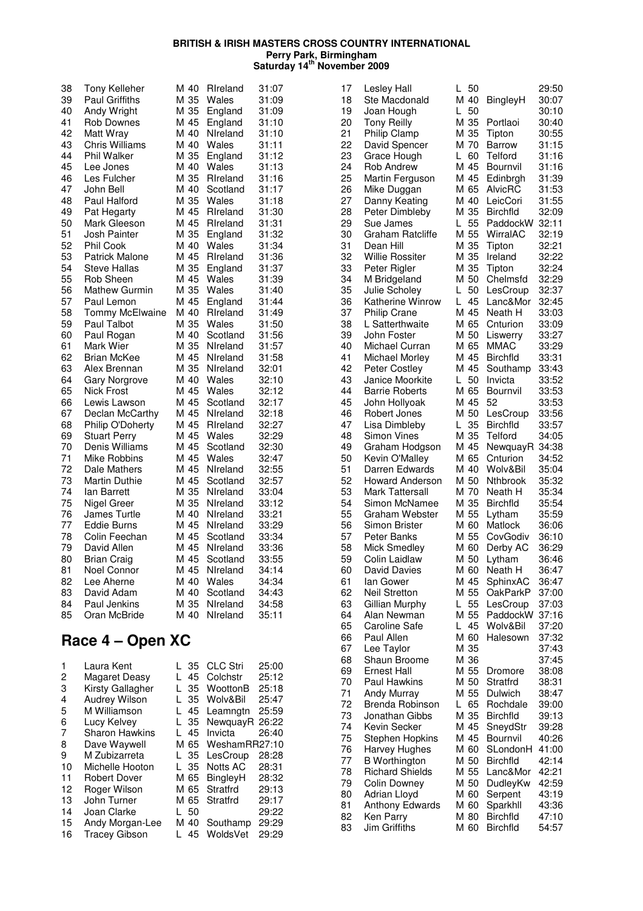| 38 | <b>Tony Kelleher</b>  | M 40 | Rireland        | 31:07          |
|----|-----------------------|------|-----------------|----------------|
| 39 | Paul Griffiths        | M 35 | Wales           | 31:09          |
| 40 | Andy Wright           | M 35 | England         | 31:09          |
| 41 | Rob Downes            | M 45 | England         | 31:10          |
| 42 | Matt Wray             | M 40 | Nireland        | 31:10          |
| 43 | <b>Chris Williams</b> | M 40 | Wales           | 31:11          |
| 44 | Phil Walker           | M 35 | England         | 31:12          |
| 45 | Lee Jones             | M 40 | Wales           | 31:13          |
| 46 | Les Fulcher           | M 35 | Rireland        | 31:16          |
| 47 | John Bell             | M 40 | Scotland        | 31:17          |
| 48 | Paul Halford          | M 35 | Wales           | 31:18          |
| 49 | Pat Hegarty           | M 45 | Rireland        | 31:30          |
| 50 | Mark Gleeson          | M 45 | Rireland        | 31:31          |
| 51 | Josh Painter          | M 35 | England         | 31:32          |
| 52 | Phil Cook             | M 40 | Wales           | 31:34          |
| 53 | <b>Patrick Malone</b> | M 45 | Rireland        | 31:36          |
| 54 | <b>Steve Hallas</b>   | M 35 | England         | 31:37          |
| 55 | Rob Sheen             | M 45 | Wales           | 31:39          |
| 56 | <b>Mathew Gurmin</b>  | M 35 | Wales           | 31:40          |
| 57 | Paul Lemon            | M 45 | England         | 31:44          |
| 58 | Tommy McElwaine       | M 40 | Rireland        | 31:49          |
| 59 | Paul Talbot           | M 35 | Wales           | 31:50          |
| 60 | Paul Rogan            | M 40 | Scotland        | 31:56          |
| 61 | Mark Wier             | M 35 | Nireland        | 31:57          |
| 62 | <b>Brian McKee</b>    | M 45 | Nireland        | 31:58          |
| 63 | Alex Brennan          | M 35 | Nireland        | 32:01          |
| 64 | <b>Gary Norgrove</b>  | M 40 | Wales           | 32:10          |
| 65 | <b>Nick Frost</b>     | M 45 | Wales           | 32:12          |
| 66 | Lewis Lawson          | M 45 | Scotland        | 32:17          |
| 67 | Declan McCarthy       | M 45 | Nireland        | 32:18          |
| 68 | Philip O'Doherty      | M 45 | Rireland        | 32:27          |
| 69 | <b>Stuart Perry</b>   | M 45 | Wales           | 32:29          |
| 70 | Denis Williams        | M 45 | Scotland        | 32:30          |
| 71 | Mike Robbins          | M 45 | Wales           |                |
| 72 | Dale Mathers          | M 45 | Nireland        | 32:47<br>32:55 |
| 73 | <b>Martin Duthie</b>  | M 45 | Scotland        | 32:57          |
| 74 | lan Barrett           | M 35 | Nireland        | 33:04          |
| 75 |                       | M 35 |                 |                |
|    | Nigel Greer           |      | Nireland        | 33:12          |
| 76 | James Turtle          | M 40 | <b>Nireland</b> | 33:21          |
| 77 | Eddie Burns           | M 45 | Nireland        | 33:29          |
| 78 | Colin Feechan         | M 45 | Scotland        | 33:34          |
| 79 | David Allen           | M 45 | Nireland        | 33:36          |
| 80 | <b>Brian Craig</b>    | M 45 | Scotland        | 33:55          |
| 81 | Noel Connor           | M 45 | Nireland        | 34:14          |
| 82 | Lee Aherne            | M 40 | Wales           | 34:34          |
| 83 | David Adam            | M 40 | Scotland        | 34:43          |
| 84 | Paul Jenkins          | M 35 | Nireland        | 34:58          |
| 85 | Oran McBride          | M 40 | Nireland        | 35:11          |

## **Race 4 – Open XC**

| 1  | Laura Kent            |   | L 35 | <b>CLC Stri</b> | 25:00 |
|----|-----------------------|---|------|-----------------|-------|
| 2  | Magaret Deasy         |   | 45   | Colchstr        | 25:12 |
| 3  | Kirsty Gallagher      |   | 35   | WoottonB        | 25:18 |
| 4  | Audrey Wilson         |   | 35   | Wolv&Bil        | 25:47 |
| 5  | M Williamson          |   | 45   | Leamngtn        | 25:59 |
| 6  | Lucy Kelvey           | L | 35   | NewquayR        | 26:22 |
| 7  | <b>Sharon Hawkins</b> |   | 45   | Invicta         | 26:40 |
| 8  | Dave Waywell          |   | M 65 | WeshamRR27:10   |       |
| 9  | M Zubizarreta         |   | L 35 | LesCroup        | 28:28 |
| 10 | Michelle Hooton       |   | L 35 | Notts AC        | 28:31 |
| 11 | <b>Robert Dover</b>   |   | M 65 | BingleyH        | 28:32 |
| 12 | Roger Wilson          |   | M 65 | Stratfrd        | 29:13 |
| 13 | John Turner           |   | M 65 | Stratfrd        | 29:17 |
| 14 | Joan Clarke           |   | -50  |                 | 29:22 |
| 15 | Andy Morgan-Lee       |   | M 40 | Southamp        | 29:29 |
| 16 | <b>Tracey Gibson</b>  |   | 45   | WoldsVet        | 29:29 |

| 17 | Lesley Hall             | L<br>50  |                 | 29:50          |
|----|-------------------------|----------|-----------------|----------------|
| 18 | Ste Macdonald           | M 40     | BingleyH        | 30:07          |
| 19 | Joan Hough              | L<br>50  |                 | 30:10          |
| 20 | <b>Tony Reilly</b>      | M 35     | Portlaoi        | 30:40          |
| 21 | Philip Clamp            | M 35     | Tipton          | 30:55          |
| 22 | David Spencer           | M 70     | <b>Barrow</b>   | 31:15          |
| 23 | Grace Hough             | L<br>60  | <b>Telford</b>  | 31:16          |
| 24 | <b>Rob Andrew</b>       | M 45     | Bournvil        | 31:16          |
| 25 | Martin Ferguson         | M 45     | Edinbrgh        | 31:39          |
| 26 | Mike Duggan             | M 65     | AlvicRC         | 31:53          |
| 27 | Danny Keating           | M 40     | LeicCori        | 31:55          |
| 28 | Peter Dimbleby          | M 35     | <b>Birchfld</b> | 32:09          |
| 29 | Sue James               | 55<br>L  | PaddockW        | 32:11          |
| 30 | <b>Graham Ratcliffe</b> | M 55     | WirralAC        | 32:19          |
| 31 | Dean Hill               | M 35     | Tipton          | 32:21          |
| 32 | <b>Willie Rossiter</b>  | M 35     | Ireland         | 32:22          |
| 33 | Peter Rigler            | M 35     | Tipton          | 32:24          |
| 34 | M Bridgeland            | M 50     | Chelmsfd        | 32:29          |
| 35 | Julie Scholey           | L<br>50  | LesCroup        | 32:37          |
| 36 | Katherine Winrow        | 45<br>L  | Lanc&Mor        | 32:45          |
| 37 | <b>Philip Crane</b>     | M 45     | Neath H         | 33:03          |
| 38 | L Satterthwaite         | M 65     | Cnturion        | 33:09          |
| 39 | John Foster             | M 50     | Liswerry        | 33:27          |
| 40 | Michael Curran          | M 65     | <b>MMAC</b>     | 33:29          |
| 41 | Michael Morley          | M 45     | <b>Birchfld</b> | 33:31          |
| 42 | <b>Peter Costley</b>    | M 45     | Southamp        | 33:43          |
| 43 | Janice Moorkite         | 50<br>L. | Invicta         | 33:52          |
| 44 | <b>Barrie Roberts</b>   | M 65     | Bournvil        | 33:53          |
| 45 | John Hollyoak           | M 45     | 52              | 33:53          |
| 46 | Robert Jones            | M 50     | LesCroup        | 33:56          |
| 47 | Lisa Dimbleby           | 35<br>L. | <b>Birchfld</b> | 33:57          |
| 48 | <b>Simon Vines</b>      | M 35     | Telford         | 34:05          |
| 49 | Graham Hodgson          | M 45     | NewquayR        | 34:38          |
| 50 | Kevin O'Malley          | M 65     | Cnturion        | 34:52          |
| 51 | Darren Edwards          | M 40     | Wolv&Bil        | 35:04          |
| 52 | <b>Howard Anderson</b>  | M 50     | Nthbrook        | 35:32          |
| 53 | <b>Mark Tattersall</b>  | M 70     | Neath H         | 35:34          |
| 54 | Simon McNamee           | M 35     | <b>Birchfld</b> | 35:54          |
| 55 | Graham Webster          | M 55     | Lytham          | 35:59          |
| 56 | Simon Brister           | M 60     | Matlock         | 36:06          |
| 57 | Peter Banks             | M 55     | CovGodiv        |                |
| 58 |                         | M 60     |                 | 36:10          |
| 59 | Mick Smedley            |          | Derby AC        | 36:29<br>36:46 |
|    | Colin Laidlaw           | M 50     | Lytham          |                |
| 60 | David Davies            | M 60     | Neath H         | 36:47          |
| 61 | lan Gower               | M 45     | SphinxAC        | 36:47          |
| 62 | Neil Stretton           | M 55     | OakParkP        | 37:00          |
| 63 | Gillian Murphy          | 55<br>L  | LesCroup        | 37:03          |
| 64 | Alan Newman             | M 55     | PaddockW        | 37:16          |
| 65 | Caroline Safe           | 45<br>L  | Wolv&Bil        | 37:20          |
| 66 | Paul Allen              | M 60     | Halesown        | 37:32          |
| 67 | Lee Taylor              | M 35     |                 | 37:43          |
| 68 | Shaun Broome            | M 36     |                 | 37:45          |
| 69 | Ernest Hall             | M 55     | Dromore         | 38:08          |
| 70 | Paul Hawkins            | M 50     | Stratfrd        | 38:31          |
| 71 | Andy Murray             | M 55     | Dulwich         | 38:47          |
| 72 | Brenda Robinson         | 65<br>L. | Rochdale        | 39:00          |
| 73 | Jonathan Gibbs          | M 35     | <b>Birchfld</b> | 39:13          |
| 74 | Kevin Secker            | M 45     | SneydStr        | 39:28          |
| 75 | <b>Stephen Hopkins</b>  | M 45     | Bournvil        | 40:26          |
| 76 | Harvey Hughes           | M 60     | SLondonH        | 41:00          |
| 77 | <b>B</b> Worthington    | M 50     | Birchfld        | 42:14          |
| 78 | Richard Shields         | M 55     | Lanc&Mor        | 42:21          |
| 79 | Colin Downey            | M 50     | DudleyKw        | 42:59          |
| 80 | Adrian Lloyd            | M 60     | Serpent         | 43:19          |
| 81 | Anthony Edwards         | M 60     | Sparkhll        | 43:36          |
| 82 | Ken Parry               | M 80     | <b>Birchfld</b> | 47:10          |
| 83 | Jim Griffiths           | M 60     | <b>Birchfld</b> | 54:57          |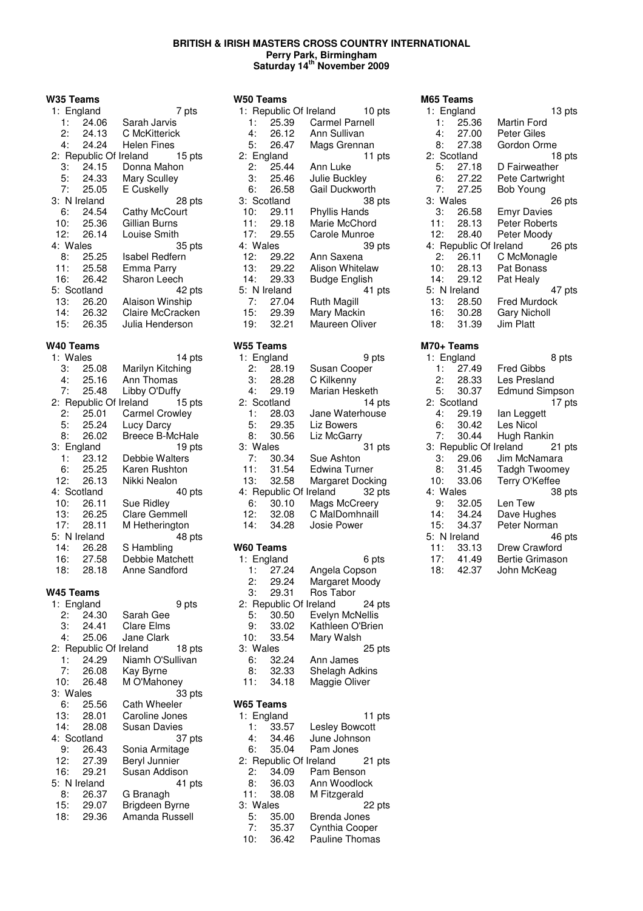**W35 Teams**

|           | 1: England   |                               | 7 pts  |
|-----------|--------------|-------------------------------|--------|
|           | 1: 24.06     | Sarah Jarvis                  |        |
|           | 2: 24.13     | C McKitterick                 |        |
|           | 4: 24.24     | Helen Fines                   |        |
|           |              | 2: Republic Of Ireland 15 pts |        |
|           | 3: 24.15     | Donna Mahon                   |        |
|           | 5: 24.33     | <b>Mary Sculley</b>           |        |
|           | 7: 25.05     | E Cuskelly                    |        |
|           | 3: N Ireland |                               | 28 pts |
| 6:        | 24.54        | Cathy McCourt                 |        |
|           | 10: 25.36    | Gillian Burns                 |        |
|           | 12: 26.14    | Louise Smith                  |        |
| 4: Wales  |              |                               | 35 pts |
|           | 8: 25.25     | Isabel Redfern                |        |
|           | 11: 25.58    | Emma Parry                    |        |
|           | 16: 26.42    | Sharon Leech                  |        |
|           | 5: Scotland  |                               | 42 pts |
|           | 13: 26.20    | Alaison Winship               |        |
|           | 14: 26.32    | Claire McCracken              |        |
|           | 15: 26.35    | Julia Henderson               |        |
| W40 Teams |              |                               |        |
| 1: Wales  |              |                               | 14 pts |
|           | 3: 25.08     | Marilyn Kitching              |        |
|           | 4: 25.16     | Ann Thomas                    |        |
|           | 7: 25.48     | Libby O'Duffy                 |        |
|           |              | 2: Republic Of Ireland        | 15 pts |

| 7:  | 25.48        | Libby O'Duffy                 |
|-----|--------------|-------------------------------|
|     |              | 2: Republic Of Ireland 15 pts |
| 2:  | 25.01        | <b>Carmel Crowley</b>         |
| 5:  | 25.24        | Lucy Darcy                    |
| 8:  | 26.02        | <b>Breece B-McHale</b>        |
|     | 3: England   | 19 pts                        |
| 1:  | 23.12        | Debbie Walters                |
| 6:  | 25.25        | Karen Rushton                 |
| 12: | 26.13        | Nikki Nealon                  |
|     | 4: Scotland  | 40 pts                        |
| 10: | 26.11        | Sue Ridley                    |
| 13: | 26.25        | <b>Clare Gemmell</b>          |
| 17: | 28.11        | M Hetherington                |
|     | 5: N Ireland | 48 pts                        |
| 14: | 26.28        | S Hambling                    |
| 16: | 27.58        | Debbie Matchett               |
| 18: | 28.18        | Anne Sandford                 |

#### **W45 Teams**

|          | 1: England   | 9 pts                            |
|----------|--------------|----------------------------------|
|          | 2: 24.30     | Sarah Gee                        |
|          | 3:24.41      | Clare Elms                       |
|          | 4: 25.06     | Jane Clark                       |
|          |              | 2: Republic Of Ireland<br>18 pts |
| 1:       | 24.29        | Niamh O'Sullivan                 |
|          | 7: 26.08     | Kay Byrne                        |
|          | 10: 26.48    | M O'Mahoney                      |
| 3: Wales |              | 33 pts                           |
|          | 6: 25.56     | <b>Cath Wheeler</b>              |
|          | 13: 28.01    | Caroline Jones                   |
| 14:      | 28.08        | Susan Davies                     |
|          | 4: Scotland  | 37 pts                           |
| -9:      | 26.43        | Sonia Armitage                   |
| 12:      | 27.39        | Beryl Junnier                    |
| 16:      | 29.21        | Susan Addison                    |
|          | 5: N Ireland | 41 pts                           |
| 8:       | 26.37        | G Branagh                        |
|          | 15: 29.07    | Brigdeen Byrne                   |
| 18:      | 29.36        | Amanda Russell                   |
|          |              |                                  |

| W50 Teams   |              |                               |
|-------------|--------------|-------------------------------|
|             |              | 1: Republic Of Ireland 10 pts |
|             | 1: 25.39     | <b>Carmel Parnell</b>         |
|             | 4: 26.12     | Ann Sullivan                  |
| 5:          | 26.47        | Mags Grennan                  |
| 2: England  |              | 11 pts                        |
|             | 2: 25.44     | Ann Luke                      |
| 3:          | 25.46        | Julie Buckley                 |
| 6:          | 26.58        | Gail Duckworth                |
| 3: Scotland |              | 38 pts                        |
|             | 10: 29.11    | Phyllis Hands                 |
|             | 11: 29.18    | Marie McChord                 |
|             | 17: 29.55    | Carole Munroe                 |
| 4: Wales    |              | 39 pts                        |
| 12:         | 29.22        | Ann Saxena                    |
|             | 13: 29.22    | Alison Whitelaw               |
|             | 14: 29.33    | <b>Budge English</b>          |
|             | 5: N Ireland | 41 pts                        |
|             | 7: 27.04     | Ruth Magill                   |
|             | 15: 29.39    | Mary Mackin                   |
| 19:         | - 32.21      | Maureen Oliver                |

#### **W55 Teams**

| 1: England |             | 9 pts                            |
|------------|-------------|----------------------------------|
| 2:         | 28.19       | Susan Cooper                     |
| 3:         | 28.28       | C Kilkenny                       |
| 4:         | 29.19       | Marian Hesketh                   |
|            | 2: Scotland | 14 pts                           |
| 1:         | 28.03       | Jane Waterhouse                  |
| 5:         | 29.35       | Liz Bowers                       |
| 8:         | 30.56       | Liz McGarry                      |
|            |             |                                  |
| 3: Wales   |             | 31 pts                           |
| 7:         | 30.34       | Sue Ashton                       |
| 11:        | 31.54       | Edwina Turner                    |
| 13:        | 32.58       | Margaret Docking                 |
|            |             | 4: Republic Of Ireland<br>32 pts |
| 6:         | 30.10       | Mags McCreery                    |
| 12:        | 32.08       | C MalDomhnaill                   |

#### **W60 Teams**

|          | 1: England | 6 pts                            |
|----------|------------|----------------------------------|
| 1:       | 27.24      | Angela Copson                    |
| 2:       | 29.24      | Margaret Moody                   |
| 3:       | 29.31      | Ros Tabor                        |
|          |            | 2: Republic Of Ireland<br>24 pts |
| 5:       | 30.50      | Evelyn McNellis                  |
| 9:       | 33.02      | Kathleen O'Brien                 |
| 10:      | 33.54      | Mary Walsh                       |
| 3: Wales |            | 25 pts                           |
| 6:       | 32.24      | Ann James                        |
| 8:       | 32.33      | <b>Shelagh Adkins</b>            |
| 11:      | 34.18      | Maggie Oliver                    |
|          |            |                                  |

### **W65 Teams**

| 1: England |          | 11 pts                           |
|------------|----------|----------------------------------|
|            | 1: 33.57 | Lesley Bowcott                   |
| 4:         | 34.46    | June Johnson                     |
| 6:         | 35.04    | Pam Jones                        |
|            |          | 2: Republic Of Ireland<br>21 pts |
| 2:         | 34.09    | Pam Benson                       |
| 8:         | 36.03    | Ann Woodlock                     |
| 11:        | 38.08    | M Fitzgerald                     |
| 3: Wales   |          | 22 pts                           |
| 5:         | 35.00    | Brenda Jones                     |
| 7:         | 35.37    | Cynthia Cooper                   |
| 10:        | 36.42    | Pauline Thomas                   |

| M65 Teams |              |                                  |
|-----------|--------------|----------------------------------|
|           | 1: England   | 13 pts                           |
|           | 1: 25.36     | Martin Ford                      |
| 4:        | 27.00        | Peter Giles                      |
| 8:        | 27.38        | Gordon Orme                      |
|           | 2: Scotland  | 18 pts                           |
|           | 5: 27.18     | D Fairweather                    |
|           | 6: 27.22     | Pete Cartwright                  |
|           | 7:27.25      | Bob Young                        |
| 3: Wales  |              | 26 pts                           |
|           | 3: 26.58     | Emyr Davies                      |
|           | 11: 28.13    | Peter Roberts                    |
|           | 12: 28.40    | Peter Moody                      |
|           |              | 4: Republic Of Ireland<br>26 pts |
| 2:        | 26.11        | C McMonagle                      |
| 10:       | 28.13        | Pat Bonass                       |
|           | 14: 29.12    | Pat Healy                        |
|           | 5: N Ireland | 47 pts                           |
|           | 13: 28.50    | Fred Murdock                     |
|           | 16: 30.28    | <b>Gary Nicholl</b>              |
| 18:       | 31.39        | Jim Platt                        |
|           |              |                                  |

#### **M70+ Teams**

|          | 1: England   | 8 pts                         |
|----------|--------------|-------------------------------|
| 1:       | 27.49        | Fred Gibbs                    |
|          | 2: 28.33     | Les Presland                  |
| 5:       | 30.37        | <b>Edmund Simpson</b>         |
|          | 2: Scotland  | 17 pts                        |
| 4:       | 29.19        | lan Leggett                   |
| 6:       | 30.42        | Les Nicol                     |
| 7:       | 30.44        | Hugh Rankin                   |
|          |              | 3: Republic Of Ireland 21 pts |
| З:       | 29.06        | Jim McNamara                  |
|          | 8: 31.45     | <b>Tadgh Twoomey</b>          |
|          | 10: 33.06    | Terry O'Keffee                |
| 4: Wales |              | 38 pts                        |
| 9:       | 32.05        | Len Tew                       |
| 14:      | 34.24        | Dave Hughes                   |
| 15:      | 34.37        | Peter Norman                  |
|          | 5: N Ireland | 46 pts                        |
|          | 11: 33.13    | Drew Crawford                 |
|          | 17: 41.49    | <b>Bertie Grimason</b>        |
| 18:      | - 42.37      | John McKeag                   |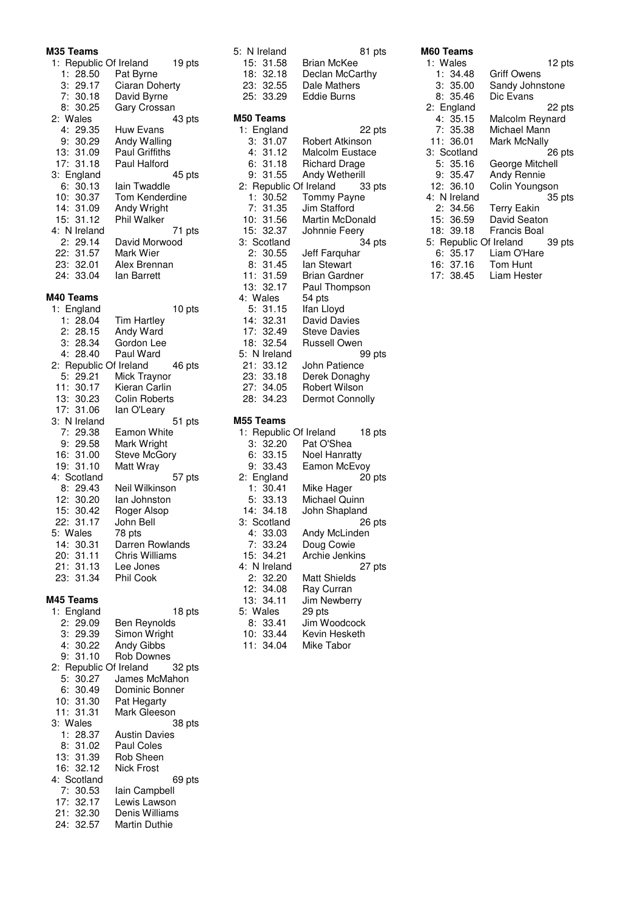#### **M35 Teams**

| 2: Wales                     | 1: Republic Of Ireland<br>1: 28.50<br>3: 29.17<br>7:30.18<br>8: 30.25<br>4: 29.35<br>9: 30.29<br>13: 31.09<br>17: 31.18<br>3: England<br>6: 30.13<br>10: 30.37<br>14: 31.09<br>15: 31.12<br>4: N Ireland<br>2: 29.14<br>22: 31.57<br>23: 32.01<br>24: 33.04                                     | Pat Byrne<br>Ciaran Doherty<br>David Byrne<br>Gary Crossan<br>Huw Evans<br>Andy Walling<br>Paul Griffiths<br>Paul Halford<br>lain Twaddle<br>Tom Kenderdine<br>Andy Wright<br>Phil Walker<br>David Morwood<br>Mark Wier<br>Alex Brennan<br>lan Barrett                                                                                                                              | 19 pts<br>43 pts<br>45 pts<br>71 pts |
|------------------------------|-------------------------------------------------------------------------------------------------------------------------------------------------------------------------------------------------------------------------------------------------------------------------------------------------|-------------------------------------------------------------------------------------------------------------------------------------------------------------------------------------------------------------------------------------------------------------------------------------------------------------------------------------------------------------------------------------|--------------------------------------|
|                              |                                                                                                                                                                                                                                                                                                 |                                                                                                                                                                                                                                                                                                                                                                                     |                                      |
| M40 Teams<br>5: Wales<br>23: | 1: England<br>1: 28.04<br>2: 28.15<br>3:28.34<br>4: 28.40<br>5: 29.21<br>11: 30.17<br>13: 30.23<br>17: 31.06<br>3: N Ireland<br>7: 29.38<br>9: 29.58<br>16: 31.00<br>19: 31.10<br>4: Scotland<br>8: 29.43<br>12:30.20<br>15: 30.42<br>22: 31.17<br>14: 30.31<br>20: 31.11<br>21: 31.13<br>31.34 | <b>Tim Hartley</b><br>Andy Ward<br>Gordon Lee<br>Paul Ward<br>2: Republic Of Ireland<br>Mick Traynor<br>Kieran Carlin<br><b>Colin Roberts</b><br>lan O'Leary<br><b>Eamon White</b><br>Mark Wright<br><b>Steve McGory</b><br>Matt Wray<br>Neil Wilkinson<br>lan Johnston<br>Roger Alsop<br>John Bell<br>78 pts<br>Darren Rowlands<br><b>Chris Williams</b><br>Lee Jones<br>Phil Cook | 10 pts<br>46 pts<br>51 pts<br>57 pts |
| M45 Teams                    | 1: England<br>2: 29.09<br>3: 29.39                                                                                                                                                                                                                                                              | Ben Reynolds<br>Simon Wright                                                                                                                                                                                                                                                                                                                                                        | 18 pts                               |

|          | 3:29.39     | Simon Wright                     |
|----------|-------------|----------------------------------|
|          | 4:30.22     | Andy Gibbs                       |
|          | 9:31.10     | <b>Rob Downes</b>                |
|          |             | 2: Republic Of Ireland<br>32 pts |
|          | 5:30.27     | James McMahon                    |
|          | 6:30.49     | Dominic Bonner                   |
|          | 10: 31.30   | Pat Hegarty                      |
|          | 11: 31.31   | Mark Gleeson                     |
| 3: Wales |             | 38 pts                           |
|          | 1:28.37     | <b>Austin Davies</b>             |
|          | 8:31.02     | Paul Coles                       |
|          | 13: 31.39   | Rob Sheen                        |
|          | 16: 32.12   | <b>Nick Frost</b>                |
|          | 4: Scotland | 69 pts                           |
|          | 7:30.53     | lain Campbell                    |
|          | 17:32.17    | Lewis Lawson                     |
|          | 21: 32.30   | Denis Williams                   |
|          | 24: 32.57   | <b>Martin Duthie</b>             |

| 5: N Ireland<br>15: 31.58<br>18: 32.18<br>23:32.55<br>25: 33.29                                                                                                               | 81 pts<br><b>Brian McKee</b><br>Declan McCarthy<br>Dale Mathers<br>Eddie Burns                                                                                                                                |
|-------------------------------------------------------------------------------------------------------------------------------------------------------------------------------|---------------------------------------------------------------------------------------------------------------------------------------------------------------------------------------------------------------|
| M50 Teams                                                                                                                                                                     |                                                                                                                                                                                                               |
| 1: England<br>3:31.07<br>4:31.12<br>6:31.18<br>9:<br>31.55<br>2: Republic Of Ireland<br>1: 30.52<br>7: 31.35<br>10: 31.56<br>15: 32.37<br>3: Scotland<br>2: 30.55<br>8: 31.45 | 22 pts<br>Robert Atkinson<br>Malcolm Eustace<br><b>Richard Drage</b><br>Andy Wetherill<br>33 pts<br>Tommy Payne<br>Jim Stafford<br>Martin McDonald<br>Johnnie Feery<br>34 pts<br>Jeff Farquhar<br>lan Stewart |
| 11: 31.59                                                                                                                                                                     | <b>Brian Gardner</b>                                                                                                                                                                                          |
| 13: 32.17                                                                                                                                                                     | Paul Thompson                                                                                                                                                                                                 |
| 4: Wales                                                                                                                                                                      | 54 pts                                                                                                                                                                                                        |
| 5:31.15                                                                                                                                                                       | Ifan Lloyd                                                                                                                                                                                                    |
| 14: 32.31                                                                                                                                                                     | David Davies                                                                                                                                                                                                  |
| 17: 32.49<br>18: 32.54                                                                                                                                                        | <b>Steve Davies</b>                                                                                                                                                                                           |
| 5: N Ireland                                                                                                                                                                  | Russell Owen<br>99 pts                                                                                                                                                                                        |
|                                                                                                                                                                               | John Patience                                                                                                                                                                                                 |
| 21: 33.12<br>23: 33.18                                                                                                                                                        | Derek Donaghy                                                                                                                                                                                                 |
| 27: 34.05                                                                                                                                                                     | Robert Wilson                                                                                                                                                                                                 |
| 28: 34.23                                                                                                                                                                     | Dermot Connolly                                                                                                                                                                                               |
|                                                                                                                                                                               |                                                                                                                                                                                                               |
| M55 Teams                                                                                                                                                                     |                                                                                                                                                                                                               |
| 1: Republic Of Ireland<br>3:32.20                                                                                                                                             | 18 pts<br>Pat O'Shea                                                                                                                                                                                          |
| 6:33.15                                                                                                                                                                       | <b>Noel Hanratty</b>                                                                                                                                                                                          |
| 9: 33.43                                                                                                                                                                      | Eamon McEvoy                                                                                                                                                                                                  |
| 2: England                                                                                                                                                                    | 20 pts                                                                                                                                                                                                        |
| 1: 30.41                                                                                                                                                                      | Mike Hager                                                                                                                                                                                                    |
| 5: 33.13                                                                                                                                                                      | Michael Quinn                                                                                                                                                                                                 |
| 14: 34.18                                                                                                                                                                     | John Shapland                                                                                                                                                                                                 |
| 3: Scotland                                                                                                                                                                   | 26 pts                                                                                                                                                                                                        |
| 4:<br>33.03                                                                                                                                                                   | Andy McLinden                                                                                                                                                                                                 |

7: 33.24 Doug Cowie 15: 34.21 Archie Jenkins 4: N Ireland 27 pts 2: 32.20 Matt Shields 12: 34.08 Ray Curran 13: 34.11 Jim Newberry

8: 33.41 Jim Woodcock 10: 33.44 Kevin Hesketh 11: 34.04 Mike Tabor

2: 32.20<br>2: 34.08<br>13: 34.11<br>5: Wales<br>8: 33.41<br>10: 33.44

| M60 Teams              |                 |
|------------------------|-----------------|
| 1: Wales               | 12 pts          |
| 1:34.48                | Griff Owens     |
| 3:35.00                | Sandy Johnstone |
| 8: 35.46               | Dic Evans       |
| 2: England             | 22 pts          |
| 4:35.15                | Malcolm Reynard |
| 7:35.38                | Michael Mann    |
| 11: 36.01              | Mark McNally    |
| 3: Scotland            | 26 pts          |
| 5: 35.16               | George Mitchell |
| 9:35.47                | Andy Rennie     |
| 12: 36.10              | Colin Youngson  |
| 4: N Ireland           | 35 pts          |
| 2:34.56                | Terry Eakin     |
| 15: 36.59              | David Seaton    |
| 18: 39.18              | Francis Boal    |
| 5: Republic Of Ireland | 39 pts          |
| 6:35.17                | Liam O'Hare     |
| 16: 37.16              | Tom Hunt        |
| 17: 38.45              | Liam Hester     |